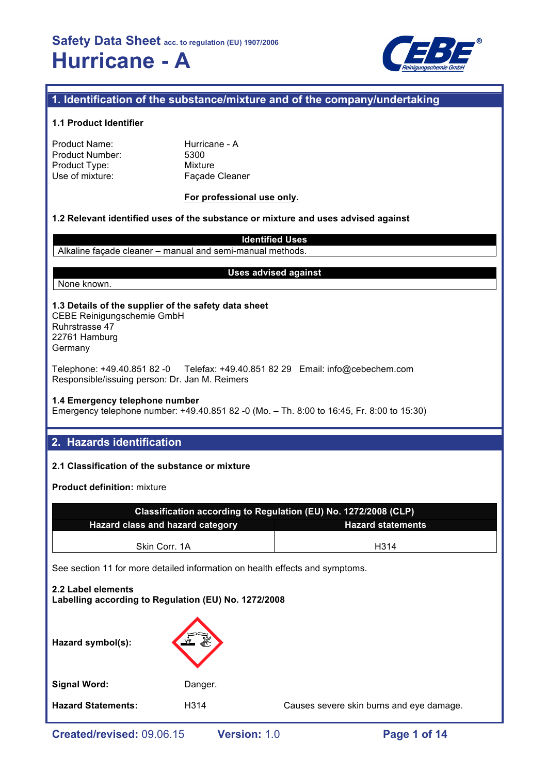

### **1. Identification of the substance/mixture and of the company/undertaking**

#### **1.1 Product Identifier**

| Product Name:   |  |
|-----------------|--|
| Product Number: |  |
| Product Type:   |  |
| Use of mixture: |  |

Hurricane - A 5300 **Mixture** Façade Cleaner

### **For professional use only.**

#### **1.2 Relevant identified uses of the substance or mixture and uses advised against**

**Identified Uses** Alkaline façade cleaner – manual and semi-manual methods.

#### None known.

#### **Uses advised against**

#### **1.3 Details of the supplier of the safety data sheet** CEBE Reinigungschemie GmbH Ruhrstrasse 47 22761 Hamburg

Germany

Telephone: +49.40.851 82 -0 Telefax: +49.40.851 82 29 Email: info@cebechem.com Responsible/issuing person: Dr. Jan M. Reimers

### **1.4 Emergency telephone number**

Emergency telephone number: +49.40.851 82 -0 (Mo. – Th. 8:00 to 16:45, Fr. 8:00 to 15:30)

### **2. Hazards identification**

### **2.1 Classification of the substance or mixture**

**Product definition:** mixture

| Classification according to Regulation (EU) No. 1272/2008 (CLP) |      |  |  |
|-----------------------------------------------------------------|------|--|--|
| Hazard class and hazard category<br><b>Hazard statements</b>    |      |  |  |
| Skin Corr. 1A                                                   | H314 |  |  |

See section 11 for more detailed information on health effects and symptoms.

# **2.2 Label elements Labelling according to Regulation (EU) No. 1272/2008 Hazard symbol(s): Signal Word:** Danger. **Hazard Statements:** H314 Causes severe skin burns and eye damage.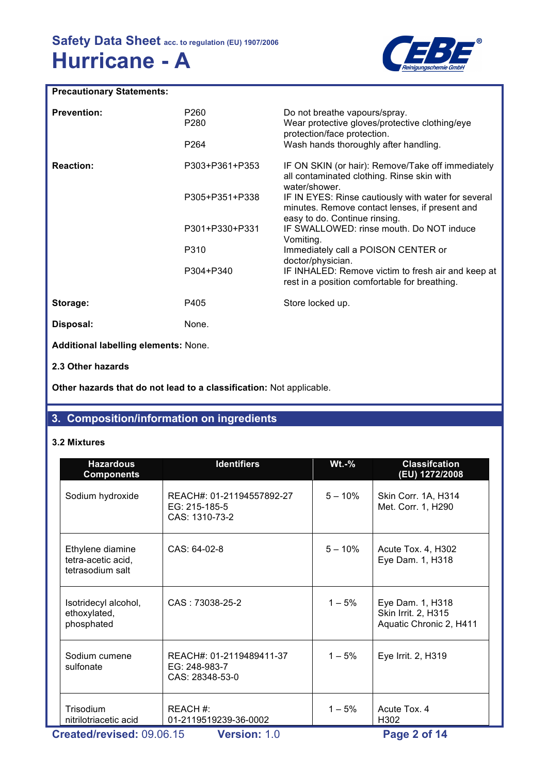

### **Precautionary Statements:**

| <b>Prevention:</b>                   | P <sub>260</sub><br>P <sub>280</sub><br>P <sub>264</sub> | Do not breathe vapours/spray.<br>Wear protective gloves/protective clothing/eye<br>protection/face protection.<br>Wash hands thoroughly after handling. |
|--------------------------------------|----------------------------------------------------------|---------------------------------------------------------------------------------------------------------------------------------------------------------|
| <b>Reaction:</b>                     | P303+P361+P353                                           | IF ON SKIN (or hair): Remove/Take off immediately<br>all contaminated clothing. Rinse skin with<br>water/shower.                                        |
|                                      | P305+P351+P338                                           | IF IN EYES: Rinse cautiously with water for several<br>minutes. Remove contact lenses, if present and<br>easy to do. Continue rinsing.                  |
|                                      | P301+P330+P331                                           | IF SWALLOWED: rinse mouth. Do NOT induce<br>Vomiting.                                                                                                   |
|                                      | P310                                                     | Immediately call a POISON CENTER or<br>doctor/physician.                                                                                                |
|                                      | P304+P340                                                | IF INHALED: Remove victim to fresh air and keep at<br>rest in a position comfortable for breathing.                                                     |
| Storage:                             | P405                                                     | Store locked up.                                                                                                                                        |
| Disposal:                            | None.                                                    |                                                                                                                                                         |
| Additional labelling elements: None. |                                                          |                                                                                                                                                         |
| 2.3 Other hazards                    |                                                          |                                                                                                                                                         |

**Other hazards that do not lead to a classification:** Not applicable.

### **3. Composition/information on ingredients**

### **3.2 Mixtures**

| <b>Hazardous</b><br><b>Components</b>                      | <b>Identifiers</b>                                           | $Wt.-%$   | <b>Classifcation</b><br>(EU) 1272/2008                             |
|------------------------------------------------------------|--------------------------------------------------------------|-----------|--------------------------------------------------------------------|
| Sodium hydroxide                                           | REACH#: 01-21194557892-27<br>EG: 215-185-5<br>CAS: 1310-73-2 | $5 - 10%$ | Skin Corr. 1A, H314<br>Met. Corr. 1, H290                          |
| Ethylene diamine<br>tetra-acetic acid,<br>tetrasodium salt | $CAS: 64-02-8$                                               | $5 - 10%$ | Acute Tox. 4, H302<br>Eye Dam. 1, H318                             |
| Isotridecyl alcohol,<br>ethoxylated,<br>phosphated         | CAS: 73038-25-2                                              | $1 - 5%$  | Eye Dam. 1, H318<br>Skin Irrit. 2, H315<br>Aquatic Chronic 2, H411 |
| Sodium cumene<br>sulfonate                                 | REACH#: 01-2119489411-37<br>EG: 248-983-7<br>CAS: 28348-53-0 | $1 - 5%$  | Eye Irrit. 2, H319                                                 |
| Trisodium<br>nitrilotriacetic acid                         | REACH #:<br>01-2119519239-36-0002                            | $1 - 5%$  | Acute Tox, 4<br>H302                                               |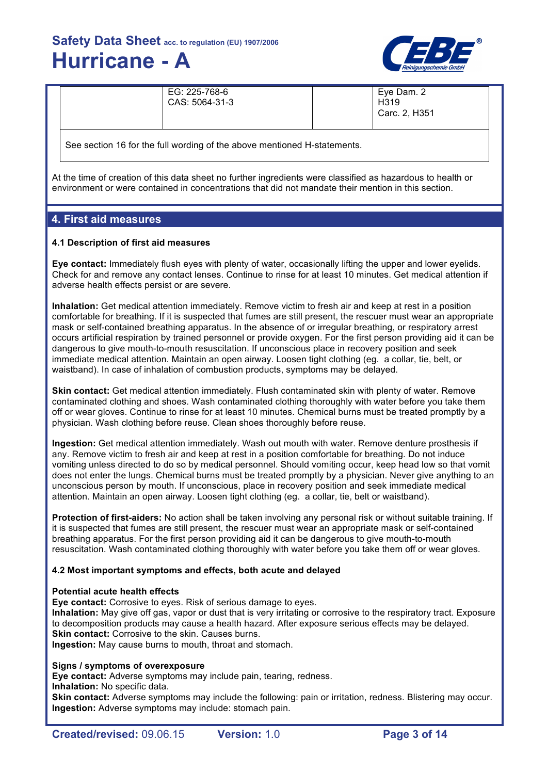

| EG: 225-768-6<br>CAS: 5064-31-3 | Eye Dam. 2<br>H <sub>319</sub><br>Carc. 2, H351 |
|---------------------------------|-------------------------------------------------|
|                                 |                                                 |

See section 16 for the full wording of the above mentioned H-statements.

At the time of creation of this data sheet no further ingredients were classified as hazardous to health or environment or were contained in concentrations that did not mandate their mention in this section.

### **4. First aid measures**

### **4.1 Description of first aid measures**

**Eye contact:** Immediately flush eyes with plenty of water, occasionally lifting the upper and lower eyelids. Check for and remove any contact lenses. Continue to rinse for at least 10 minutes. Get medical attention if adverse health effects persist or are severe.

**Inhalation:** Get medical attention immediately. Remove victim to fresh air and keep at rest in a position comfortable for breathing. If it is suspected that fumes are still present, the rescuer must wear an appropriate mask or self-contained breathing apparatus. In the absence of or irregular breathing, or respiratory arrest occurs artificial respiration by trained personnel or provide oxygen. For the first person providing aid it can be dangerous to give mouth-to-mouth resuscitation. If unconscious place in recovery position and seek immediate medical attention. Maintain an open airway. Loosen tight clothing (eg. a collar, tie, belt, or waistband). In case of inhalation of combustion products, symptoms may be delayed.

**Skin contact:** Get medical attention immediately. Flush contaminated skin with plenty of water. Remove contaminated clothing and shoes. Wash contaminated clothing thoroughly with water before you take them off or wear gloves. Continue to rinse for at least 10 minutes. Chemical burns must be treated promptly by a physician. Wash clothing before reuse. Clean shoes thoroughly before reuse.

**Ingestion:** Get medical attention immediately. Wash out mouth with water. Remove denture prosthesis if any. Remove victim to fresh air and keep at rest in a position comfortable for breathing. Do not induce vomiting unless directed to do so by medical personnel. Should vomiting occur, keep head low so that vomit does not enter the lungs. Chemical burns must be treated promptly by a physician. Never give anything to an unconscious person by mouth. If unconscious, place in recovery position and seek immediate medical attention. Maintain an open airway. Loosen tight clothing (eg. a collar, tie, belt or waistband).

**Protection of first-aiders:** No action shall be taken involving any personal risk or without suitable training. If it is suspected that fumes are still present, the rescuer must wear an appropriate mask or self-contained breathing apparatus. For the first person providing aid it can be dangerous to give mouth-to-mouth resuscitation. Wash contaminated clothing thoroughly with water before you take them off or wear gloves.

### **4.2 Most important symptoms and effects, both acute and delayed**

### **Potential acute health effects**

**Eye contact:** Corrosive to eyes. Risk of serious damage to eyes.

**Inhalation:** May give off gas, vapor or dust that is very irritating or corrosive to the respiratory tract. Exposure to decomposition products may cause a health hazard. After exposure serious effects may be delayed. **Skin contact:** Corrosive to the skin. Causes burns.

**Ingestion:** May cause burns to mouth, throat and stomach.

### **Signs / symptoms of overexposure**

**Eye contact:** Adverse symptoms may include pain, tearing, redness. **Inhalation:** No specific data.

**Skin contact:** Adverse symptoms may include the following: pain or irritation, redness. Blistering may occur. **Ingestion:** Adverse symptoms may include: stomach pain.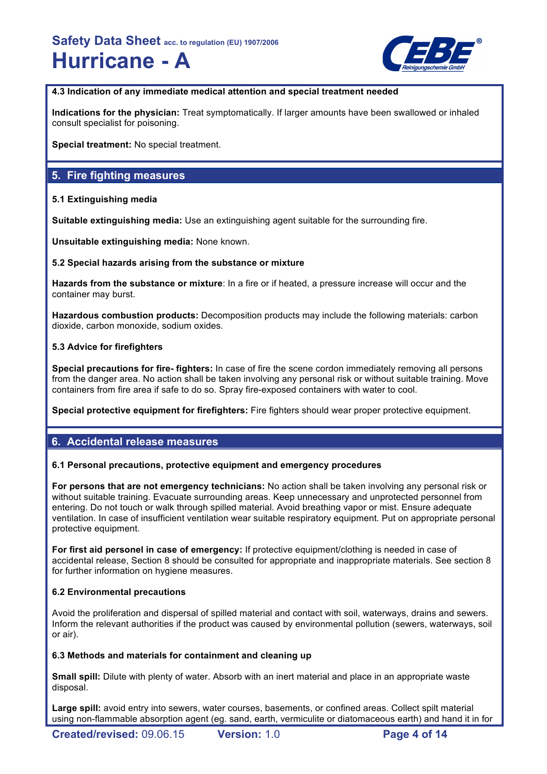

**4.3 Indication of any immediate medical attention and special treatment needed**

**Indications for the physician:** Treat symptomatically. If larger amounts have been swallowed or inhaled consult specialist for poisoning.

**Special treatment:** No special treatment.

### **5. Fire fighting measures**

### **5.1 Extinguishing media**

**Suitable extinguishing media:** Use an extinguishing agent suitable for the surrounding fire.

**Unsuitable extinguishing media:** None known.

### **5.2 Special hazards arising from the substance or mixture**

**Hazards from the substance or mixture**: In a fire or if heated, a pressure increase will occur and the container may burst.

**Hazardous combustion products:** Decomposition products may include the following materials: carbon dioxide, carbon monoxide, sodium oxides.

### **5.3 Advice for firefighters**

**Special precautions for fire- fighters:** In case of fire the scene cordon immediately removing all persons from the danger area. No action shall be taken involving any personal risk or without suitable training. Move containers from fire area if safe to do so. Spray fire-exposed containers with water to cool.

**Special protective equipment for firefighters:** Fire fighters should wear proper protective equipment.

### **6. Accidental release measures**

### **6.1 Personal precautions, protective equipment and emergency procedures**

**For persons that are not emergency technicians:** No action shall be taken involving any personal risk or without suitable training. Evacuate surrounding areas. Keep unnecessary and unprotected personnel from entering. Do not touch or walk through spilled material. Avoid breathing vapor or mist. Ensure adequate ventilation. In case of insufficient ventilation wear suitable respiratory equipment. Put on appropriate personal protective equipment.

**For first aid personel in case of emergency:** If protective equipment/clothing is needed in case of accidental release, Section 8 should be consulted for appropriate and inappropriate materials. See section 8 for further information on hygiene measures.

### **6.2 Environmental precautions**

Avoid the proliferation and dispersal of spilled material and contact with soil, waterways, drains and sewers. Inform the relevant authorities if the product was caused by environmental pollution (sewers, waterways, soil or air).

### **6.3 Methods and materials for containment and cleaning up**

**Small spill:** Dilute with plenty of water. Absorb with an inert material and place in an appropriate waste disposal.

**Large spill:** avoid entry into sewers, water courses, basements, or confined areas. Collect spilt material using non-flammable absorption agent (eg. sand, earth, vermiculite or diatomaceous earth) and hand it in for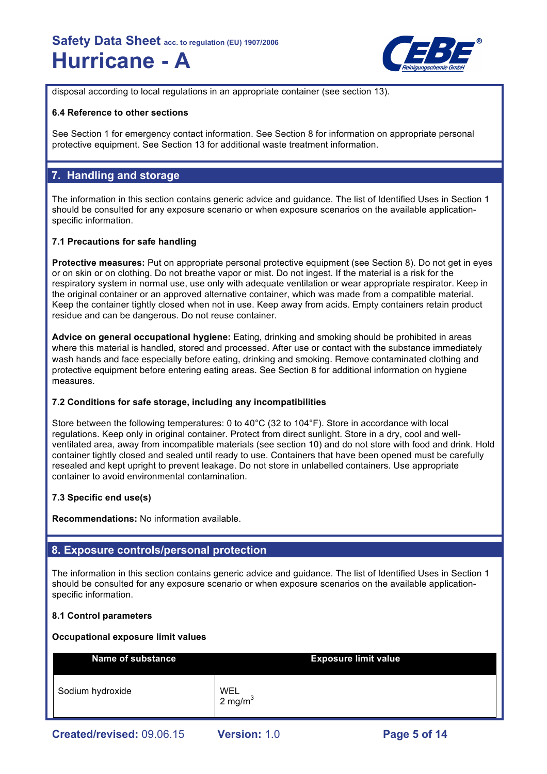

disposal according to local regulations in an appropriate container (see section 13).

### **6.4 Reference to other sections**

See Section 1 for emergency contact information. See Section 8 for information on appropriate personal protective equipment. See Section 13 for additional waste treatment information.

### **7. Handling and storage**

The information in this section contains generic advice and guidance. The list of Identified Uses in Section 1 should be consulted for any exposure scenario or when exposure scenarios on the available applicationspecific information.

### **7.1 Precautions for safe handling**

**Protective measures:** Put on appropriate personal protective equipment (see Section 8). Do not get in eyes or on skin or on clothing. Do not breathe vapor or mist. Do not ingest. If the material is a risk for the respiratory system in normal use, use only with adequate ventilation or wear appropriate respirator. Keep in the original container or an approved alternative container, which was made from a compatible material. Keep the container tightly closed when not in use. Keep away from acids. Empty containers retain product residue and can be dangerous. Do not reuse container.

**Advice on general occupational hygiene:** Eating, drinking and smoking should be prohibited in areas where this material is handled, stored and processed. After use or contact with the substance immediately wash hands and face especially before eating, drinking and smoking. Remove contaminated clothing and protective equipment before entering eating areas. See Section 8 for additional information on hygiene measures.

### **7.2 Conditions for safe storage, including any incompatibilities**

Store between the following temperatures: 0 to 40°C (32 to 104°F). Store in accordance with local regulations. Keep only in original container. Protect from direct sunlight. Store in a dry, cool and wellventilated area, away from incompatible materials (see section 10) and do not store with food and drink. Hold container tightly closed and sealed until ready to use. Containers that have been opened must be carefully resealed and kept upright to prevent leakage. Do not store in unlabelled containers. Use appropriate container to avoid environmental contamination.

### **7.3 Specific end use(s)**

**Recommendations:** No information available.

### **8. Exposure controls/personal protection**

The information in this section contains generic advice and guidance. The list of Identified Uses in Section 1 should be consulted for any exposure scenario or when exposure scenarios on the available applicationspecific information.

### **8.1 Control parameters**

### **Occupational exposure limit values**

| <b>Name of substance</b>  |                          | <b>Exposure limit value</b> |
|---------------------------|--------------------------|-----------------------------|
| Sodium hydroxide          | <b>WEL</b><br>2 mg/m $3$ |                             |
| Created/revised: 09.06.15 | <b>Version: 1.0</b>      | Page 5 of 14                |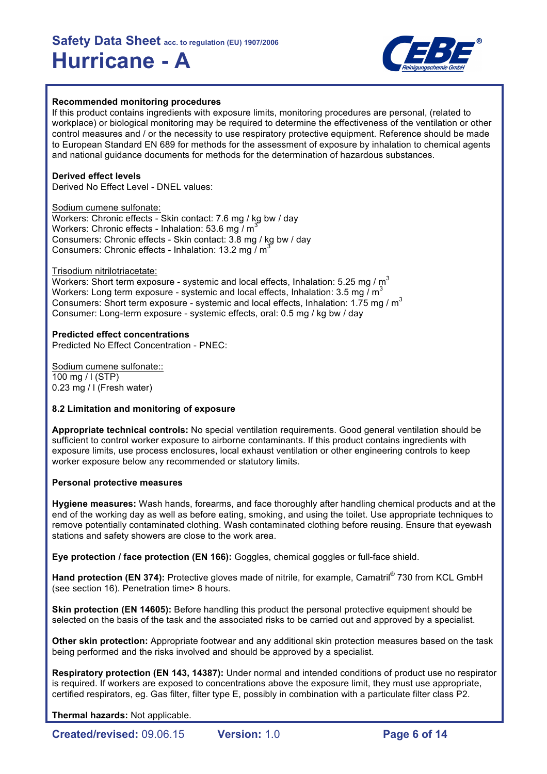

### **Recommended monitoring procedures**

If this product contains ingredients with exposure limits, monitoring procedures are personal, (related to workplace) or biological monitoring may be required to determine the effectiveness of the ventilation or other control measures and / or the necessity to use respiratory protective equipment. Reference should be made to European Standard EN 689 for methods for the assessment of exposure by inhalation to chemical agents and national guidance documents for methods for the determination of hazardous substances.

### **Derived effect levels**

Derived No Effect Level - DNEL values:

Sodium cumene sulfonate: Workers: Chronic effects - Skin contact: 7.6 mg / kg bw / day Workers: Chronic effects - Inhalation: 53.6 mg  $\overline{M}$ Consumers: Chronic effects - Skin contact: 3.8 mg / kg bw / day Consumers: Chronic effects - Inhalation: 13.2 mg /  $m^3$ 

#### Trisodium nitrilotriacetate:

Workers: Short term exposure - systemic and local effects, Inhalation: 5.25 mg /  $m<sup>3</sup>$ Workers: Long term exposure - systemic and local effects, Inhalation: 3.5 mg  $\overline{I}$  m<sup>3</sup> Consumers: Short term exposure - systemic and local effects, Inhalation: 1.75 mg / m<sup>3</sup> Consumer: Long-term exposure - systemic effects, oral: 0.5 mg / kg bw / day

#### **Predicted effect concentrations**

Predicted No Effect Concentration - PNEC:

Sodium cumene sulfonate:: 100 mg / l (STP) 0.23 mg / l (Fresh water)

### **8.2 Limitation and monitoring of exposure**

**Appropriate technical controls:** No special ventilation requirements. Good general ventilation should be sufficient to control worker exposure to airborne contaminants. If this product contains ingredients with exposure limits, use process enclosures, local exhaust ventilation or other engineering controls to keep worker exposure below any recommended or statutory limits.

#### **Personal protective measures**

**Hygiene measures:** Wash hands, forearms, and face thoroughly after handling chemical products and at the end of the working day as well as before eating, smoking, and using the toilet. Use appropriate techniques to remove potentially contaminated clothing. Wash contaminated clothing before reusing. Ensure that eyewash stations and safety showers are close to the work area.

**Eye protection / face protection (EN 166):** Goggles, chemical goggles or full-face shield.

**Hand protection (EN 374):** Protective gloves made of nitrile, for example, Camatril® 730 from KCL GmbH (see section 16). Penetration time> 8 hours.

**Skin protection (EN 14605):** Before handling this product the personal protective equipment should be selected on the basis of the task and the associated risks to be carried out and approved by a specialist.

**Other skin protection:** Appropriate footwear and any additional skin protection measures based on the task being performed and the risks involved and should be approved by a specialist.

**Respiratory protection (EN 143, 14387):** Under normal and intended conditions of product use no respirator is required. If workers are exposed to concentrations above the exposure limit, they must use appropriate, certified respirators, eg. Gas filter, filter type E, possibly in combination with a particulate filter class P2.

**Thermal hazards:** Not applicable.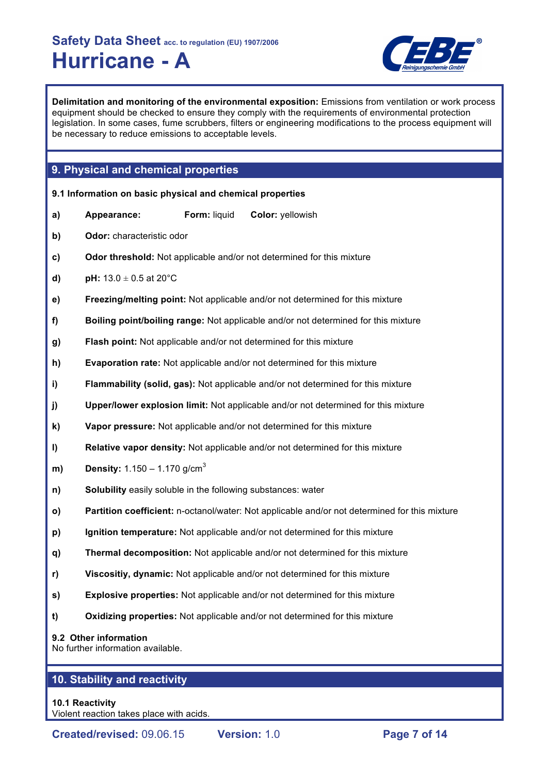

**Delimitation and monitoring of the environmental exposition:** Emissions from ventilation or work process equipment should be checked to ensure they comply with the requirements of environmental protection legislation. In some cases, fume scrubbers, filters or engineering modifications to the process equipment will be necessary to reduce emissions to acceptable levels.

### **9. Physical and chemical properties**

|    | 9.1 Information on basic physical and chemical properties    |              |                                                                                               |
|----|--------------------------------------------------------------|--------------|-----------------------------------------------------------------------------------------------|
| a) | Appearance:                                                  | Form: liquid | Color: yellowish                                                                              |
| b) | Odor: characteristic odor                                    |              |                                                                                               |
| c) |                                                              |              | Odor threshold: Not applicable and/or not determined for this mixture                         |
| d) | <b>pH:</b> $13.0 \pm 0.5$ at 20°C                            |              |                                                                                               |
| e) |                                                              |              | Freezing/melting point: Not applicable and/or not determined for this mixture                 |
| f) |                                                              |              | Boiling point/boiling range: Not applicable and/or not determined for this mixture            |
| g) |                                                              |              | Flash point: Not applicable and/or not determined for this mixture                            |
| h) |                                                              |              | Evaporation rate: Not applicable and/or not determined for this mixture                       |
| i) |                                                              |              | Flammability (solid, gas): Not applicable and/or not determined for this mixture              |
| j) |                                                              |              | Upper/lower explosion limit: Not applicable and/or not determined for this mixture            |
| k) |                                                              |              | Vapor pressure: Not applicable and/or not determined for this mixture                         |
| I) |                                                              |              | Relative vapor density: Not applicable and/or not determined for this mixture                 |
| m) | <b>Density:</b> 1.150 – 1.170 g/cm <sup>3</sup>              |              |                                                                                               |
| n) | Solubility easily soluble in the following substances: water |              |                                                                                               |
| O) |                                                              |              | Partition coefficient: n-octanol/water: Not applicable and/or not determined for this mixture |
| p) |                                                              |              | Ignition temperature: Not applicable and/or not determined for this mixture                   |
| q) |                                                              |              | Thermal decomposition: Not applicable and/or not determined for this mixture                  |
| r) |                                                              |              | Viscositiy, dynamic: Not applicable and/or not determined for this mixture                    |
| s) |                                                              |              | <b>Explosive properties:</b> Not applicable and/or not determined for this mixture            |
| t) |                                                              |              | Oxidizing properties: Not applicable and/or not determined for this mixture                   |
|    | 9.2 Other information<br>No further information available.   |              |                                                                                               |

### **10. Stability and reactivity**

### **10.1 Reactivity**

Violent reaction takes place with acids.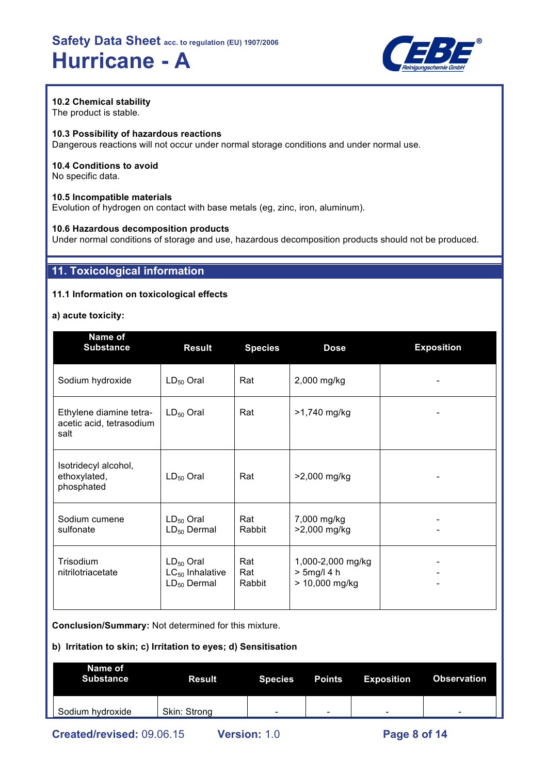

### **10.2 Chemical stability**

The product is stable.

### **10.3 Possibility of hazardous reactions**

Dangerous reactions will not occur under normal storage conditions and under normal use.

### **10.4 Conditions to avoid**

No specific data.

### **10.5 Incompatible materials**

Evolution of hydrogen on contact with base metals (eg, zinc, iron, aluminum).

### **10.6 Hazardous decomposition products**

Under normal conditions of storage and use, hazardous decomposition products should not be produced.

### **11. Toxicological information**

### **11.1 Information on toxicological effects**

### **a) acute toxicity:**

| Name of<br><b>Substance</b>                                 | <b>Result</b>                                              | <b>Species</b>       | <b>Dose</b>                                           | <b>Exposition</b> |
|-------------------------------------------------------------|------------------------------------------------------------|----------------------|-------------------------------------------------------|-------------------|
| Sodium hydroxide                                            | $LD_{50}$ Oral                                             | Rat                  | 2,000 mg/kg                                           |                   |
| Ethylene diamine tetra-<br>acetic acid, tetrasodium<br>salt | $LD_{50}$ Oral                                             | Rat                  | >1,740 mg/kg                                          |                   |
| Isotridecyl alcohol,<br>ethoxylated,<br>phosphated          | $LD_{50}$ Oral                                             | Rat                  | >2,000 mg/kg                                          |                   |
| Sodium cumene<br>sulfonate                                  | $LD_{50}$ Oral<br>$LD_{50}$ Dermal                         | Rat<br>Rabbit        | 7,000 mg/kg<br>>2,000 mg/kg                           |                   |
| Trisodium<br>nitrilotriacetate                              | $LD_{50}$ Oral<br>$LC_{50}$ Inhalative<br>$LD_{50}$ Dermal | Rat<br>Rat<br>Rabbit | 1,000-2,000 mg/kg<br>$> 5$ mg/l 4 h<br>> 10,000 mg/kg |                   |

**Conclusion/Summary:** Not determined for this mixture.

### **b) Irritation to skin; c) Irritation to eyes; d) Sensitisation**

| Name of<br><b>Substance</b> | <b>Result</b> | <b>Species</b> | Points                   | Exposition | <b>Observation</b> |
|-----------------------------|---------------|----------------|--------------------------|------------|--------------------|
| Sodium hydroxide            | Skin: Strong  | $\sim$         | $\overline{\phantom{0}}$ | -          | -                  |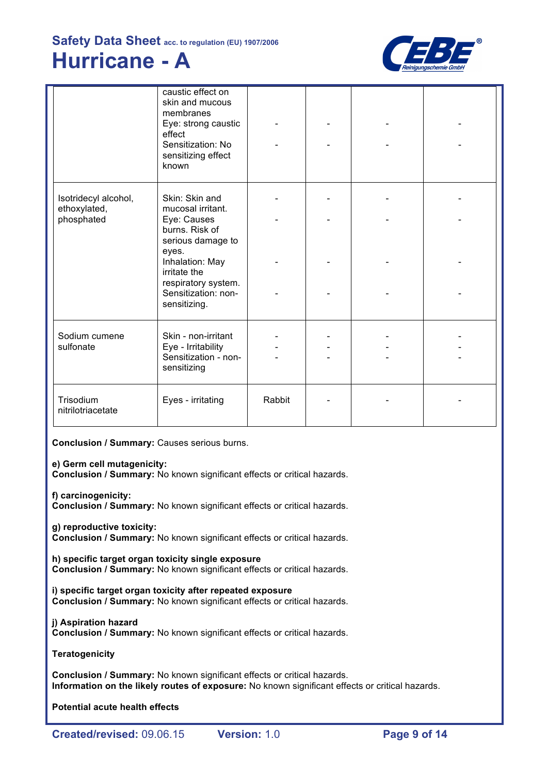

|                                      | caustic effect on<br>skin and mucous<br>membranes<br>Eye: strong caustic<br>effect<br>Sensitization: No<br>sensitizing effect<br>known |        |  |  |
|--------------------------------------|----------------------------------------------------------------------------------------------------------------------------------------|--------|--|--|
| Isotridecyl alcohol,<br>ethoxylated, | Skin: Skin and<br>mucosal irritant.                                                                                                    |        |  |  |
| phosphated                           | Eye: Causes<br>burns. Risk of<br>serious damage to<br>eyes.                                                                            |        |  |  |
|                                      | Inhalation: May<br>irritate the<br>respiratory system.                                                                                 |        |  |  |
|                                      | Sensitization: non-<br>sensitizing.                                                                                                    |        |  |  |
| Sodium cumene<br>sulfonate           | Skin - non-irritant<br>Eye - Irritability<br>Sensitization - non-<br>sensitizing                                                       |        |  |  |
| Trisodium<br>nitrilotriacetate       | Eyes - irritating                                                                                                                      | Rabbit |  |  |

**Conclusion / Summary:** Causes serious burns.

### **e) Germ cell mutagenicity:**

**Conclusion / Summary:** No known significant effects or critical hazards.

**f) carcinogenicity:**

**Conclusion / Summary:** No known significant effects or critical hazards.

**g) reproductive toxicity:**

**Conclusion / Summary:** No known significant effects or critical hazards.

**h) specific target organ toxicity single exposure Conclusion / Summary:** No known significant effects or critical hazards.

**i) specific target organ toxicity after repeated exposure Conclusion / Summary:** No known significant effects or critical hazards.

### **j) Aspiration hazard**

**Conclusion / Summary:** No known significant effects or critical hazards.

### **Teratogenicity**

**Conclusion / Summary:** No known significant effects or critical hazards. **Information on the likely routes of exposure:** No known significant effects or critical hazards.

**Potential acute health effects**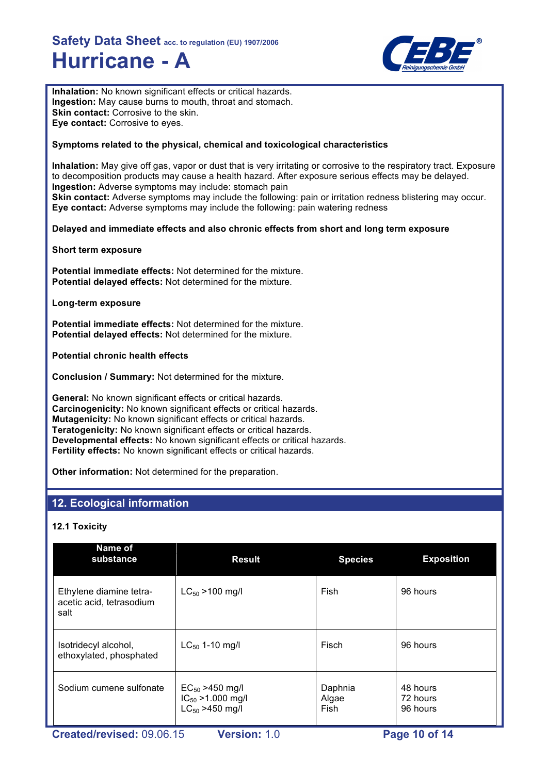

**Inhalation:** No known significant effects or critical hazards. **Ingestion:** May cause burns to mouth, throat and stomach. **Skin contact:** Corrosive to the skin. **Eye contact:** Corrosive to eyes.

### **Symptoms related to the physical, chemical and toxicological characteristics**

**Inhalation:** May give off gas, vapor or dust that is very irritating or corrosive to the respiratory tract. Exposure to decomposition products may cause a health hazard. After exposure serious effects may be delayed. **Ingestion:** Adverse symptoms may include: stomach pain **Skin contact:** Adverse symptoms may include the following: pain or irritation redness blistering may occur. **Eye contact:** Adverse symptoms may include the following: pain watering redness

### **Delayed and immediate effects and also chronic effects from short and long term exposure**

**Short term exposure**

**Potential immediate effects:** Not determined for the mixture. **Potential delayed effects:** Not determined for the mixture.

**Long-term exposure**

**Potential immediate effects:** Not determined for the mixture. **Potential delayed effects:** Not determined for the mixture.

**Potential chronic health effects**

**Conclusion / Summary:** Not determined for the mixture.

**General:** No known significant effects or critical hazards. **Carcinogenicity:** No known significant effects or critical hazards. **Mutagenicity:** No known significant effects or critical hazards. **Teratogenicity:** No known significant effects or critical hazards. **Developmental effects:** No known significant effects or critical hazards. **Fertility effects:** No known significant effects or critical hazards.

**Other information:** Not determined for the preparation.

### **12. Ecological information**

### **12.1 Toxicity**

| Name of<br>substance                                        | <b>Result</b>                                                          | <b>Species</b>           | <b>Exposition</b>                |
|-------------------------------------------------------------|------------------------------------------------------------------------|--------------------------|----------------------------------|
| Ethylene diamine tetra-<br>acetic acid, tetrasodium<br>salt | $LC_{50}$ > 100 mg/l                                                   | Fish                     | 96 hours                         |
| Isotridecyl alcohol,<br>ethoxylated, phosphated             | $LC_{50}$ 1-10 mg/l                                                    | Fisch                    | 96 hours                         |
| Sodium cumene sulfonate                                     | $EC_{50} > 450$ mg/l<br>$IC_{50} > 1.000$ mg/l<br>$LC_{50} > 450$ mg/l | Daphnia<br>Algae<br>Fish | 48 hours<br>72 hours<br>96 hours |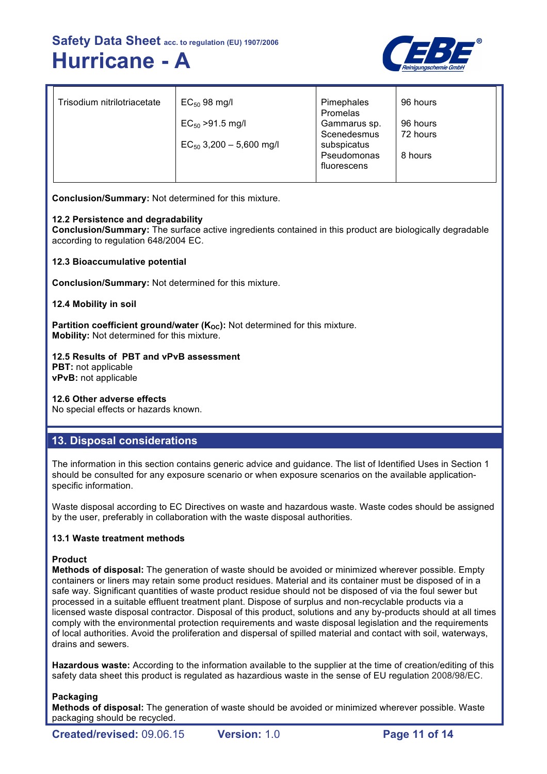

| Trisodium nitrilotriacetate | $EC_{50}$ 98 mg/l            | Pimephales<br>Promelas | 96 hours |
|-----------------------------|------------------------------|------------------------|----------|
|                             | $EC_{50} > 91.5$ mg/l        | Gammarus sp.           | 96 hours |
|                             |                              | Scenedesmus            | 72 hours |
|                             | $EC_{50}$ 3,200 - 5,600 mg/l | subspicatus            |          |
|                             |                              | Pseudomonas            | 8 hours  |
|                             |                              | fluorescens            |          |
|                             |                              |                        |          |

**Conclusion/Summary:** Not determined for this mixture.

### **12.2 Persistence and degradability**

**Conclusion/Summary:** The surface active ingredients contained in this product are biologically degradable according to regulation 648/2004 EC.

### **12.3 Bioaccumulative potential**

**Conclusion/Summary:** Not determined for this mixture.

### **12.4 Mobility in soil**

**Partition coefficient ground/water (K<sub>OC</sub>):** Not determined for this mixture. **Mobility:** Not determined for this mixture.

### **12.5 Results of PBT and vPvB assessment**

**PBT:** not applicable **vPvB:** not applicable

### **12.6 Other adverse effects**

No special effects or hazards known.

### **13. Disposal considerations**

The information in this section contains generic advice and guidance. The list of Identified Uses in Section 1 should be consulted for any exposure scenario or when exposure scenarios on the available applicationspecific information.

Waste disposal according to EC Directives on waste and hazardous waste. Waste codes should be assigned by the user, preferably in collaboration with the waste disposal authorities.

### **13.1 Waste treatment methods**

### **Product**

**Methods of disposal:** The generation of waste should be avoided or minimized wherever possible. Empty containers or liners may retain some product residues. Material and its container must be disposed of in a safe way. Significant quantities of waste product residue should not be disposed of via the foul sewer but processed in a suitable effluent treatment plant. Dispose of surplus and non-recyclable products via a licensed waste disposal contractor. Disposal of this product, solutions and any by-products should at all times comply with the environmental protection requirements and waste disposal legislation and the requirements of local authorities. Avoid the proliferation and dispersal of spilled material and contact with soil, waterways, drains and sewers.

**Hazardous waste:** According to the information available to the supplier at the time of creation/editing of this safety data sheet this product is regulated as hazardious waste in the sense of EU regulation 2008/98/EC.

### **Packaging**

**Methods of disposal:** The generation of waste should be avoided or minimized wherever possible. Waste packaging should be recycled.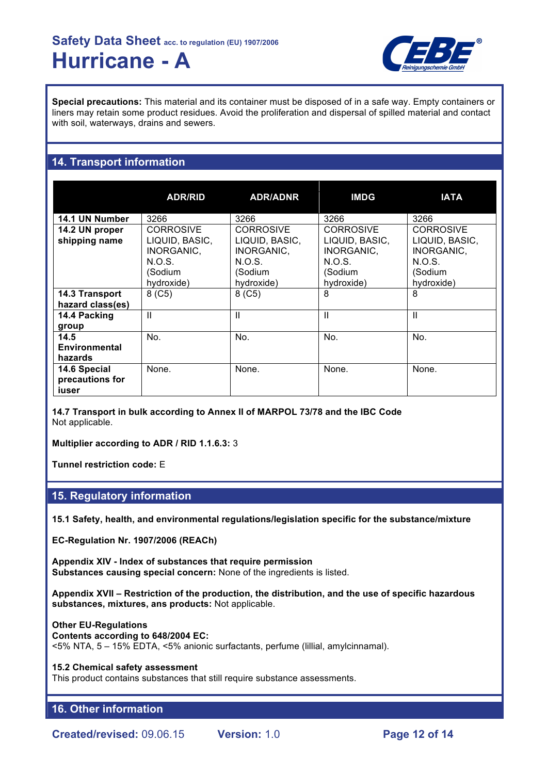

**Special precautions:** This material and its container must be disposed of in a safe way. Empty containers or liners may retain some product residues. Avoid the proliferation and dispersal of spilled material and contact with soil, waterways, drains and sewers.

### **14. Transport information**

|                                          | <b>ADR/RID</b>                                                        | <b>ADR/ADNR</b>                                                       | <b>IMDG</b>                                                           | <b>IATA</b>                                                           |
|------------------------------------------|-----------------------------------------------------------------------|-----------------------------------------------------------------------|-----------------------------------------------------------------------|-----------------------------------------------------------------------|
| 14.1 UN Number                           | 3266                                                                  | 3266                                                                  | 3266                                                                  | 3266                                                                  |
| 14.2 UN proper<br>shipping name          | <b>CORROSIVE</b><br>LIQUID, BASIC,<br>INORGANIC,<br>N.O.S.<br>(Sodium | <b>CORROSIVE</b><br>LIQUID, BASIC,<br>INORGANIC,<br>N.O.S.<br>(Sodium | <b>CORROSIVE</b><br>LIQUID, BASIC,<br>INORGANIC.<br>N.O.S.<br>(Sodium | <b>CORROSIVE</b><br>LIQUID, BASIC,<br>INORGANIC,<br>N.O.S.<br>(Sodium |
| 14.3 Transport<br>hazard class(es)       | hydroxide)<br>8(C5)                                                   | hydroxide)<br>8( C5)                                                  | hydroxide)<br>8                                                       | hydroxide)<br>8                                                       |
| 14.4 Packing<br>group                    | Ш                                                                     | Ш                                                                     | Ш                                                                     | Ш                                                                     |
| 14.5<br><b>Environmental</b><br>hazards  | No.                                                                   | No.                                                                   | No.                                                                   | No.                                                                   |
| 14.6 Special<br>precautions for<br>iuser | None.                                                                 | None.                                                                 | None.                                                                 | None.                                                                 |

**14.7 Transport in bulk according to Annex II of MARPOL 73/78 and the IBC Code** Not applicable.

**Multiplier according to ADR / RID 1.1.6.3:** 3

**Tunnel restriction code:** E

### **15. Regulatory information**

**15.1 Safety, health, and environmental regulations/legislation specific for the substance/mixture**

**EC-Regulation Nr. 1907/2006 (REACh)**

**Appendix XIV - Index of substances that require permission Substances causing special concern:** None of the ingredients is listed.

**Appendix XVII – Restriction of the production, the distribution, and the use of specific hazardous substances, mixtures, ans products:** Not applicable.

**Other EU-Regulations Contents according to 648/2004 EC:** <5% NTA, 5 – 15% EDTA, <5% anionic surfactants, perfume (lillial, amylcinnamal).

**15.2 Chemical safety assessment**

This product contains substances that still require substance assessments.

### **16. Other information**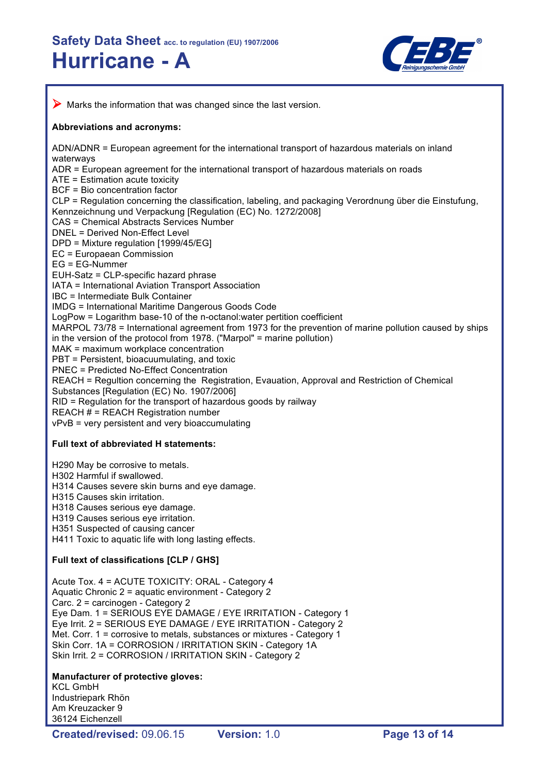

 $\triangleright$  Marks the information that was changed since the last version. **Abbreviations and acronyms:** ADN/ADNR = European agreement for the international transport of hazardous materials on inland waterways ADR = European agreement for the international transport of hazardous materials on roads ATE = Estimation acute toxicity BCF = Bio concentration factor CLP = Regulation concerning the classification, labeling, and packaging Verordnung über die Einstufung, Kennzeichnung und Verpackung [Regulation (EC) No. 1272/2008] CAS = Chemical Abstracts Services Number DNEL = Derived Non-Effect Level DPD = Mixture regulation [1999/45/EG] EC = Europaean Commission EG = EG-Nummer EUH-Satz = CLP-specific hazard phrase IATA = International Aviation Transport Association IBC = Intermediate Bulk Container IMDG = International Maritime Dangerous Goods Code LogPow = Logarithm base-10 of the n-octanol:water pertition coefficient MARPOL 73/78 = International agreement from 1973 for the prevention of marine pollution caused by ships in the version of the protocol from 1978. ("Marpol" = marine pollution) MAK = maximum workplace concentration PBT = Persistent, bioacuumulating, and toxic PNEC = Predicted No-Effect Concentration REACH = Regultion concerning the Registration, Evauation, Approval and Restriction of Chemical Substances [Regulation (EC) No. 1907/2006] RID = Regulation for the transport of hazardous goods by railway REACH # = REACH Registration number vPvB = very persistent and very bioaccumulating **Full text of abbreviated H statements:** H290 May be corrosive to metals. H302 Harmful if swallowed. H314 Causes severe skin burns and eye damage. H315 Causes skin irritation. H318 Causes serious eye damage. H319 Causes serious eye irritation. H351 Suspected of causing cancer H411 Toxic to aquatic life with long lasting effects. **Full text of classifications [CLP / GHS]** Acute Tox. 4 = ACUTE TOXICITY: ORAL - Category 4 Aquatic Chronic 2 = aquatic environment - Category 2 Carc. 2 = carcinogen - Category 2 Eye Dam. 1 = SERIOUS EYE DAMAGE / EYE IRRITATION - Category 1 Eye Irrit. 2 = SERIOUS EYE DAMAGE / EYE IRRITATION - Category 2 Met. Corr. 1 = corrosive to metals, substances or mixtures - Category 1 Skin Corr. 1A = CORROSION / IRRITATION SKIN - Category 1A Skin Irrit. 2 = CORROSION / IRRITATION SKIN - Category 2 **Manufacturer of protective gloves:** KCL GmbH Industriepark Rhön Am Kreuzacker 9 36124 Eichenzell

**Created/revised:** 09.06.15 **Version:** 1.0 **Page 13 of 14**